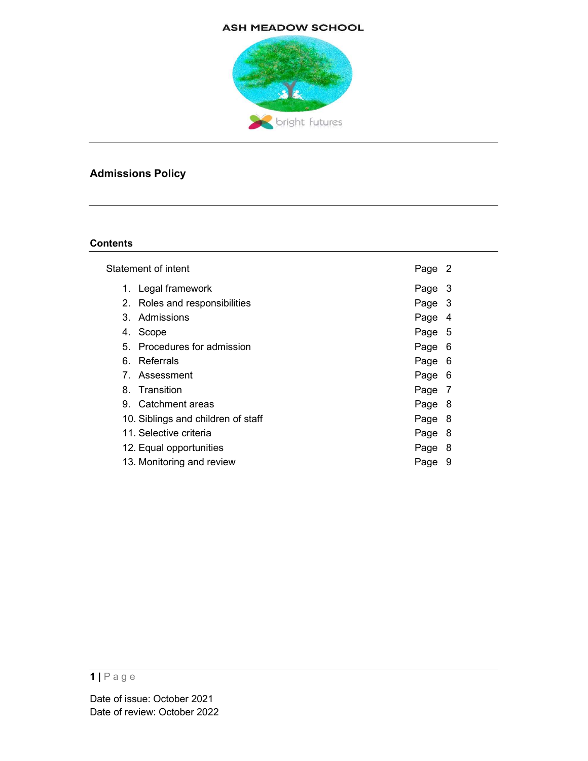# **ASH MEADOW SCHOOL**



# Admissions Policy

# **Contents**

| Statement of intent |    |                                    |        |   |
|---------------------|----|------------------------------------|--------|---|
|                     | 1. | Legal framework                    | Page 3 |   |
|                     |    | 2. Roles and responsibilities      | Page 3 |   |
|                     |    | 3. Admissions                      | Page 4 |   |
|                     |    | 4. Scope                           | Page 5 |   |
|                     |    | 5. Procedures for admission        | Page 6 |   |
|                     |    | 6. Referrals                       | Page 6 |   |
|                     |    | 7. Assessment                      | Page 6 |   |
|                     |    | 8. Transition                      | Page 7 |   |
|                     |    | 9. Catchment areas                 | Page 8 |   |
|                     |    | 10. Siblings and children of staff | Page 8 |   |
|                     |    | 11. Selective criteria             | Page 8 |   |
|                     |    | 12. Equal opportunities            | Page 8 |   |
|                     |    | 13. Monitoring and review          | Page   | 9 |
|                     |    |                                    |        |   |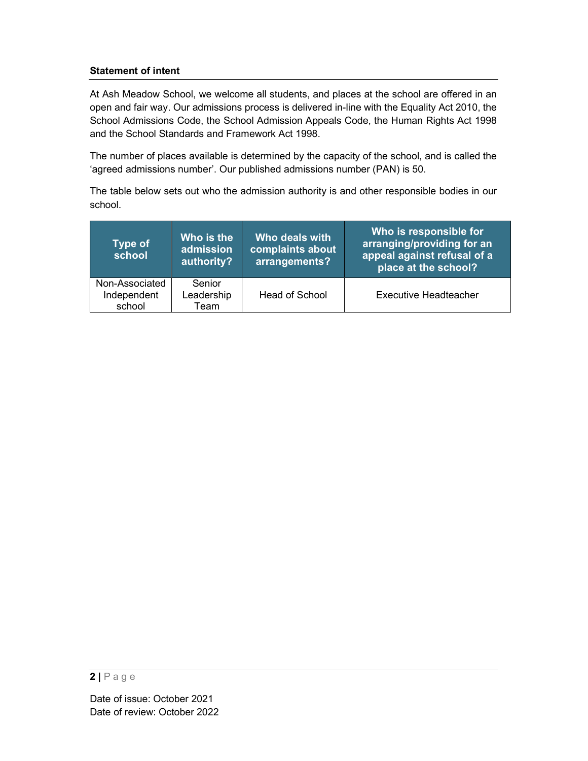# Statement of intent

At Ash Meadow School, we welcome all students, and places at the school are offered in an open and fair way. Our admissions process is delivered in-line with the Equality Act 2010, the School Admissions Code, the School Admission Appeals Code, the Human Rights Act 1998 and the School Standards and Framework Act 1998.

The number of places available is determined by the capacity of the school, and is called the 'agreed admissions number'. Our published admissions number (PAN) is 50.

The table below sets out who the admission authority is and other responsible bodies in our school.

| Type of<br>school                       | Who is the<br>admission<br>authority? | Who deals with<br>complaints about<br>arrangements? | Who is responsible for<br>arranging/providing for an<br>appeal against refusal of a<br>place at the school? |
|-----------------------------------------|---------------------------------------|-----------------------------------------------------|-------------------------------------------------------------------------------------------------------------|
| Non-Associated<br>Independent<br>school | Senior<br>Leadership<br>Team          | Head of School                                      | <b>Executive Headteacher</b>                                                                                |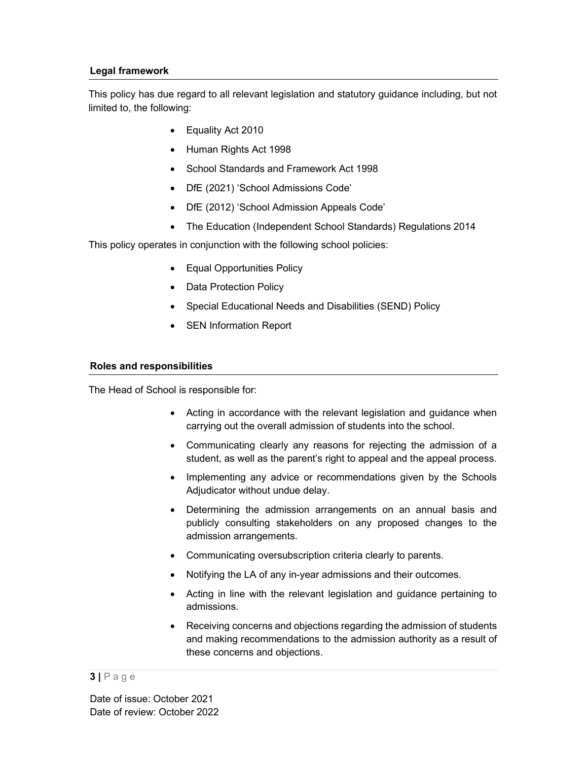# Legal framework

This policy has due regard to all relevant legislation and statutory guidance including, but not limited to, the following:

- Equality Act 2010
- Human Rights Act 1998
- School Standards and Framework Act 1998
- DfE (2021) 'School Admissions Code'
- DfE (2012) 'School Admission Appeals Code'
- The Education (Independent School Standards) Regulations 2014

This policy operates in conjunction with the following school policies:

- Equal Opportunities Policy
- Data Protection Policy
- Special Educational Needs and Disabilities (SEND) Policy
- SEN Information Report

## Roles and responsibilities

The Head of School is responsible for:

- Acting in accordance with the relevant legislation and guidance when carrying out the overall admission of students into the school.
- Communicating clearly any reasons for rejecting the admission of a student, as well as the parent's right to appeal and the appeal process.
- Implementing any advice or recommendations given by the Schools Adjudicator without undue delay.
- Determining the admission arrangements on an annual basis and publicly consulting stakeholders on any proposed changes to the admission arrangements.
- Communicating oversubscription criteria clearly to parents.
- Notifying the LA of any in-year admissions and their outcomes.
- Acting in line with the relevant legislation and guidance pertaining to admissions.
- Receiving concerns and objections regarding the admission of students and making recommendations to the admission authority as a result of these concerns and objections.

# $3 | P \n a \n g \n e$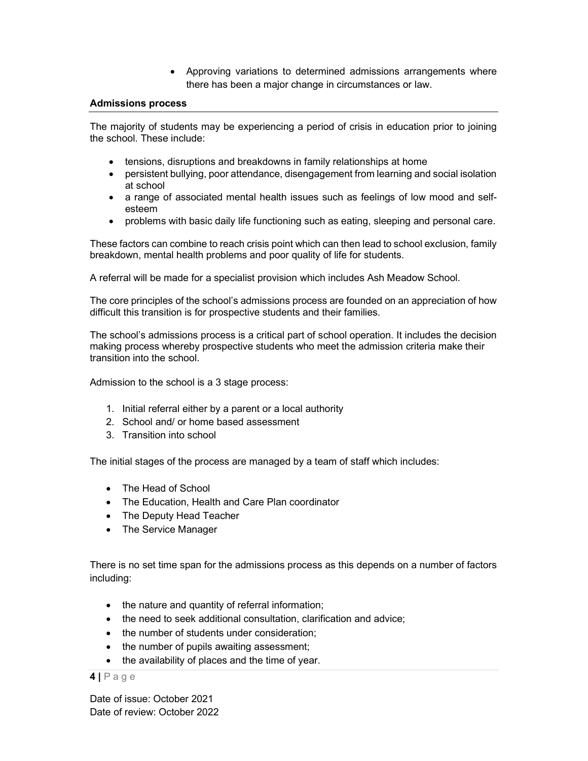Approving variations to determined admissions arrangements where there has been a major change in circumstances or law.

## Admissions process

The majority of students may be experiencing a period of crisis in education prior to joining the school. These include:

- tensions, disruptions and breakdowns in family relationships at home
- persistent bullying, poor attendance, disengagement from learning and social isolation at school
- a range of associated mental health issues such as feelings of low mood and selfesteem
- problems with basic daily life functioning such as eating, sleeping and personal care.

These factors can combine to reach crisis point which can then lead to school exclusion, family breakdown, mental health problems and poor quality of life for students.

A referral will be made for a specialist provision which includes Ash Meadow School.

The core principles of the school's admissions process are founded on an appreciation of how difficult this transition is for prospective students and their families.

The school's admissions process is a critical part of school operation. It includes the decision making process whereby prospective students who meet the admission criteria make their transition into the school.

Admission to the school is a 3 stage process:

- 1. Initial referral either by a parent or a local authority
- 2. School and/ or home based assessment
- 3. Transition into school

The initial stages of the process are managed by a team of staff which includes:

- The Head of School
- The Education, Health and Care Plan coordinator
- The Deputy Head Teacher
- The Service Manager

There is no set time span for the admissions process as this depends on a number of factors including:

- the nature and quantity of referral information;
- the need to seek additional consultation, clarification and advice;
- the number of students under consideration;
- the number of pupils awaiting assessment;
- the availability of places and the time of year.

 $4$  | P a g e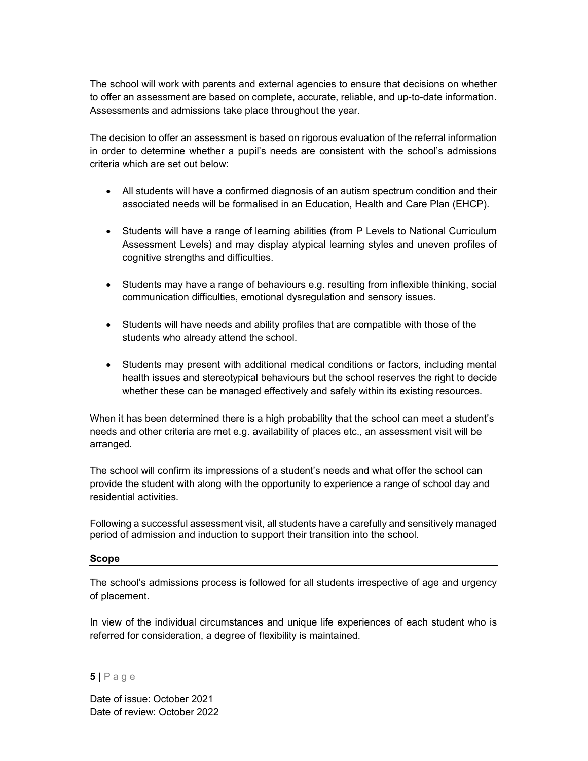The school will work with parents and external agencies to ensure that decisions on whether to offer an assessment are based on complete, accurate, reliable, and up-to-date information. Assessments and admissions take place throughout the year.

The decision to offer an assessment is based on rigorous evaluation of the referral information in order to determine whether a pupil's needs are consistent with the school's admissions criteria which are set out below:

- All students will have a confirmed diagnosis of an autism spectrum condition and their associated needs will be formalised in an Education, Health and Care Plan (EHCP).
- Students will have a range of learning abilities (from P Levels to National Curriculum Assessment Levels) and may display atypical learning styles and uneven profiles of cognitive strengths and difficulties.
- Students may have a range of behaviours e.g. resulting from inflexible thinking, social communication difficulties, emotional dysregulation and sensory issues.
- Students will have needs and ability profiles that are compatible with those of the students who already attend the school.
- Students may present with additional medical conditions or factors, including mental health issues and stereotypical behaviours but the school reserves the right to decide whether these can be managed effectively and safely within its existing resources.

When it has been determined there is a high probability that the school can meet a student's needs and other criteria are met e.g. availability of places etc., an assessment visit will be arranged.

The school will confirm its impressions of a student's needs and what offer the school can provide the student with along with the opportunity to experience a range of school day and residential activities.

Following a successful assessment visit, all students have a carefully and sensitively managed period of admission and induction to support their transition into the school.

# Scope

The school's admissions process is followed for all students irrespective of age and urgency of placement.

In view of the individual circumstances and unique life experiences of each student who is referred for consideration, a degree of flexibility is maintained.

# $5|$  P a g e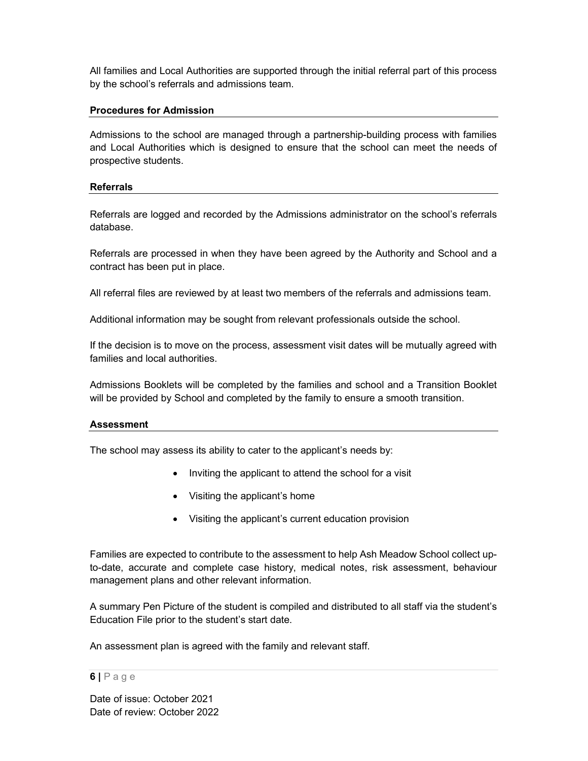All families and Local Authorities are supported through the initial referral part of this process by the school's referrals and admissions team.

## Procedures for Admission

Admissions to the school are managed through a partnership-building process with families and Local Authorities which is designed to ensure that the school can meet the needs of prospective students.

#### Referrals

Referrals are logged and recorded by the Admissions administrator on the school's referrals database.

Referrals are processed in when they have been agreed by the Authority and School and a contract has been put in place.

All referral files are reviewed by at least two members of the referrals and admissions team.

Additional information may be sought from relevant professionals outside the school.

If the decision is to move on the process, assessment visit dates will be mutually agreed with families and local authorities.

Admissions Booklets will be completed by the families and school and a Transition Booklet will be provided by School and completed by the family to ensure a smooth transition.

#### Assessment

The school may assess its ability to cater to the applicant's needs by:

- Inviting the applicant to attend the school for a visit
- Visiting the applicant's home
- Visiting the applicant's current education provision

Families are expected to contribute to the assessment to help Ash Meadow School collect upto-date, accurate and complete case history, medical notes, risk assessment, behaviour management plans and other relevant information.

A summary Pen Picture of the student is compiled and distributed to all staff via the student's Education File prior to the student's start date.

An assessment plan is agreed with the family and relevant staff.

## 6 | P a g e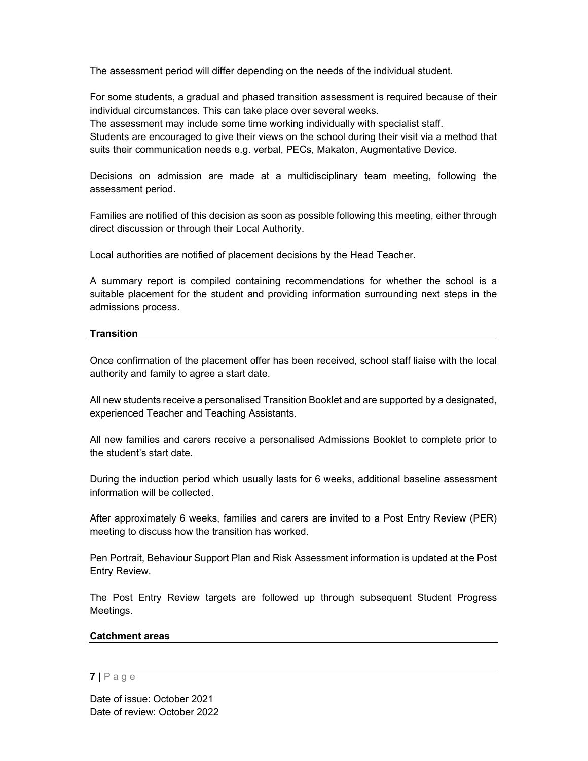The assessment period will differ depending on the needs of the individual student.

For some students, a gradual and phased transition assessment is required because of their individual circumstances. This can take place over several weeks.

The assessment may include some time working individually with specialist staff.

Students are encouraged to give their views on the school during their visit via a method that suits their communication needs e.g. verbal, PECs, Makaton, Augmentative Device.

Decisions on admission are made at a multidisciplinary team meeting, following the assessment period.

Families are notified of this decision as soon as possible following this meeting, either through direct discussion or through their Local Authority.

Local authorities are notified of placement decisions by the Head Teacher.

A summary report is compiled containing recommendations for whether the school is a suitable placement for the student and providing information surrounding next steps in the admissions process.

## **Transition**

Once confirmation of the placement offer has been received, school staff liaise with the local authority and family to agree a start date.

All new students receive a personalised Transition Booklet and are supported by a designated, experienced Teacher and Teaching Assistants.

All new families and carers receive a personalised Admissions Booklet to complete prior to the student's start date.

During the induction period which usually lasts for 6 weeks, additional baseline assessment information will be collected.

After approximately 6 weeks, families and carers are invited to a Post Entry Review (PER) meeting to discuss how the transition has worked.

Pen Portrait, Behaviour Support Plan and Risk Assessment information is updated at the Post Entry Review.

The Post Entry Review targets are followed up through subsequent Student Progress Meetings.

#### Catchment areas

#### $7 P a q e$